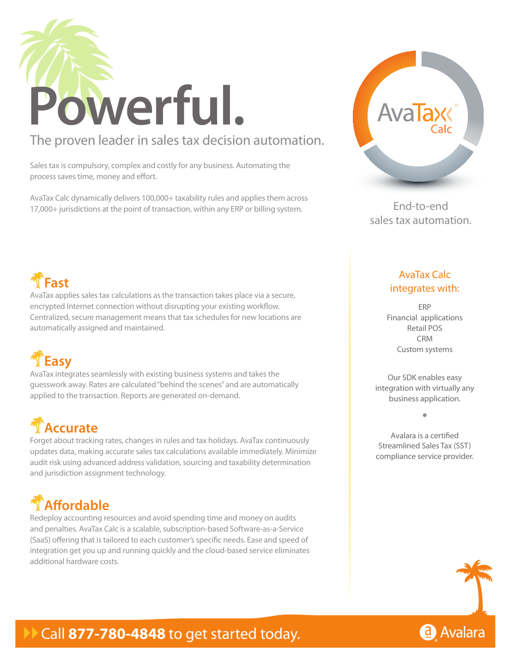

### The proven leader in sales tax decision automation.

Sales tax is compulsory, complex and costly for any business. Automating the process saves time, money and effort.

AvaTax Calc dynamically delivers 100,000+ taxability rules and applies them across 17,000+ jurisdictions at the point of transaction, within any ERP or billing system. End-to-end



sales tax automation.

### !**Fast**

AvaTax applies sales tax calculations as the transaction takes place via a secure, encrypted Internet connection without disrupting your existing workflow. Centralized, secure management means that tax schedules for new locations are automatically assigned and maintained.

## !**Easy**

AvaTax integrates seamlessly with existing business systems and takes the guesswork away. Rates are calculated "behind the scenes" and are automatically applied to the transaction. Reports are generated on-demand.

## !**Accurate**

Forget about tracking rates, changes in rules and tax holidays. AvaTax continuously updates data, making accurate sales tax calculations available immediately. Minimize audit risk using advanced address validation, sourcing and taxability determination and jurisdiction assignment technology.

## !**Affordable**

Redeploy accounting resources and avoid spending time and money on audits and penalties. AvaTax Calc is a scalable, subscription-based Software-as-a-Service (SaaS) offering that is tailored to each customer's specific needs. Ease and speed of integration get you up and running quickly and the cloud-based service eliminates additional hardware costs.

#### AvaTax Calc integrates with:

ERP Financial applications Retail POS CRM Custom systems

Our SDK enables easy integration with virtually any business application.

**•**

#### Avalara is a certified Streamlined Sales Tax (SST) compliance service provider.



### Call 877-780-4848 to get started today.